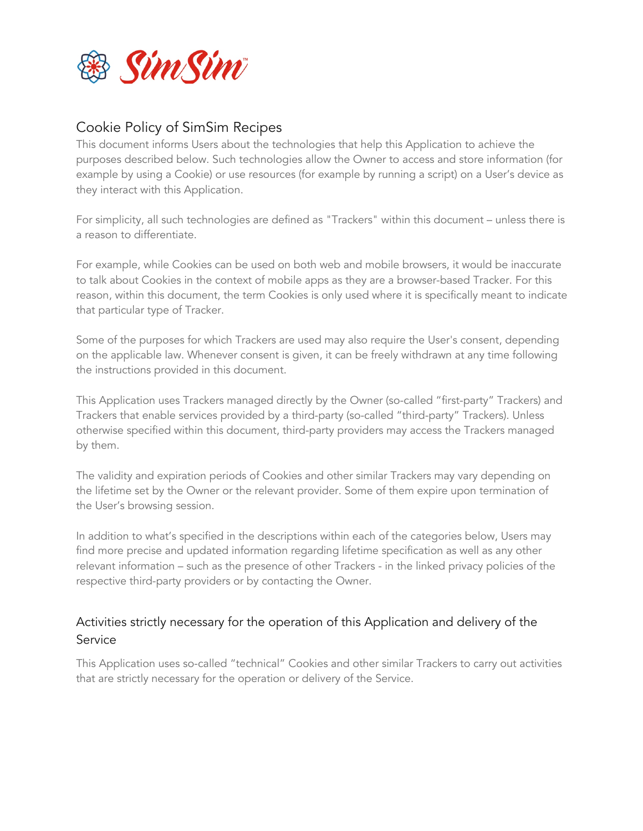

# Cookie Policy of SimSim Recipes

This document informs Users about the technologies that help this Application to achieve the purposes described below. Such technologies allow the Owner to access and store information (for example by using a Cookie) or use resources (for example by running a script) on a User's device as they interact with this Application.

For simplicity, all such technologies are defined as "Trackers" within this document – unless there is a reason to differentiate.

For example, while Cookies can be used on both web and mobile browsers, it would be inaccurate to talk about Cookies in the context of mobile apps as they are a browser-based Tracker. For this reason, within this document, the term Cookies is only used where it is specifically meant to indicate that particular type of Tracker.

Some of the purposes for which Trackers are used may also require the User's consent, depending on the applicable law. Whenever consent is given, it can be freely withdrawn at any time following the instructions provided in this document.

This Application uses Trackers managed directly by the Owner (so-called "first-party" Trackers) and Trackers that enable services provided by a third-party (so-called "third-party" Trackers). Unless otherwise specified within this document, third-party providers may access the Trackers managed by them.

The validity and expiration periods of Cookies and other similar Trackers may vary depending on the lifetime set by the Owner or the relevant provider. Some of them expire upon termination of the User's browsing session.

In addition to what's specified in the descriptions within each of the categories below, Users may find more precise and updated information regarding lifetime specification as well as any other relevant information – such as the presence of other Trackers - in the linked privacy policies of the respective third-party providers or by contacting the Owner.

# Activities strictly necessary for the operation of this Application and delivery of the **Service**

This Application uses so-called "technical" Cookies and other similar Trackers to carry out activities that are strictly necessary for the operation or delivery of the Service.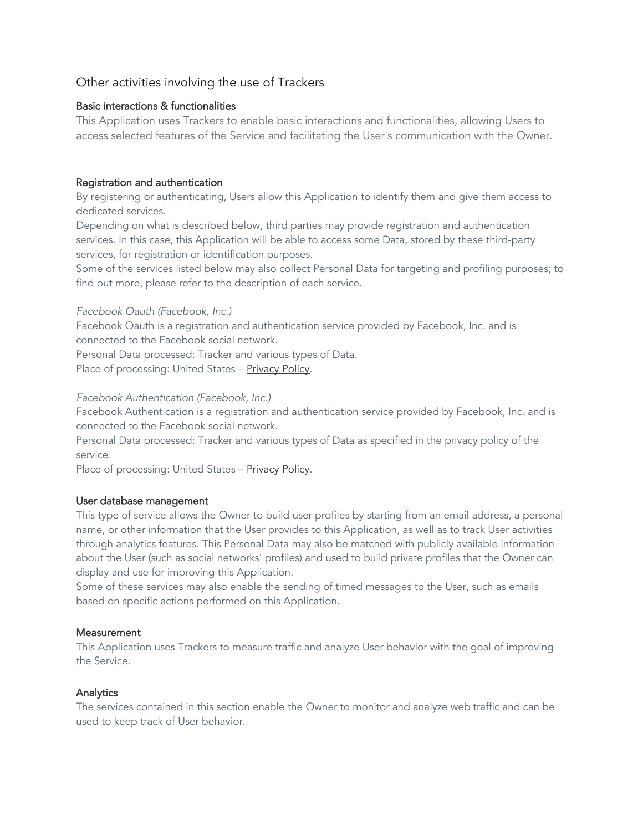# Other activities involving the use of Trackers

### Basic interactions & functionalities

This Application uses Trackers to enable basic interactions and functionalities, allowing Users to access selected features of the Service and facilitating the User's communication with the Owner.

## Registration and authentication

By registering or authenticating, Users allow this Application to identify them and give them access to dedicated services.

Depending on what is described below, third parties may provide registration and authentication services. In this case, this Application will be able to access some Data, stored by these third-party services, for registration or identification purposes.

Some of the services listed below may also collect Personal Data for targeting and profiling purposes; to find out more, please refer to the description of each service.

*Facebook Oauth (Facebook, Inc.)*

Facebook Oauth is a registration and authentication service provided by Facebook, Inc. and is connected to the Facebook social network.

Personal Data processed: Tracker and various types of Data.

Place of processing: United States - Privacy Policy.

*Facebook Authentication (Facebook, Inc.)*

Facebook Authentication is a registration and authentication service provided by Facebook, Inc. and is connected to the Facebook social network.

Personal Data processed: Tracker and various types of Data as specified in the privacy policy of the service.

Place of processing: United States - Privacy Policy.

### User database management

This type of service allows the Owner to build user profiles by starting from an email address, a personal name, or other information that the User provides to this Application, as well as to track User activities through analytics features. This Personal Data may also be matched with publicly available information about the User (such as social networks' profiles) and used to build private profiles that the Owner can display and use for improving this Application.

Some of these services may also enable the sending of timed messages to the User, such as emails based on specific actions performed on this Application.

### **Measurement**

This Application uses Trackers to measure traffic and analyze User behavior with the goal of improving the Service.

## Analytics

The services contained in this section enable the Owner to monitor and analyze web traffic and can be used to keep track of User behavior.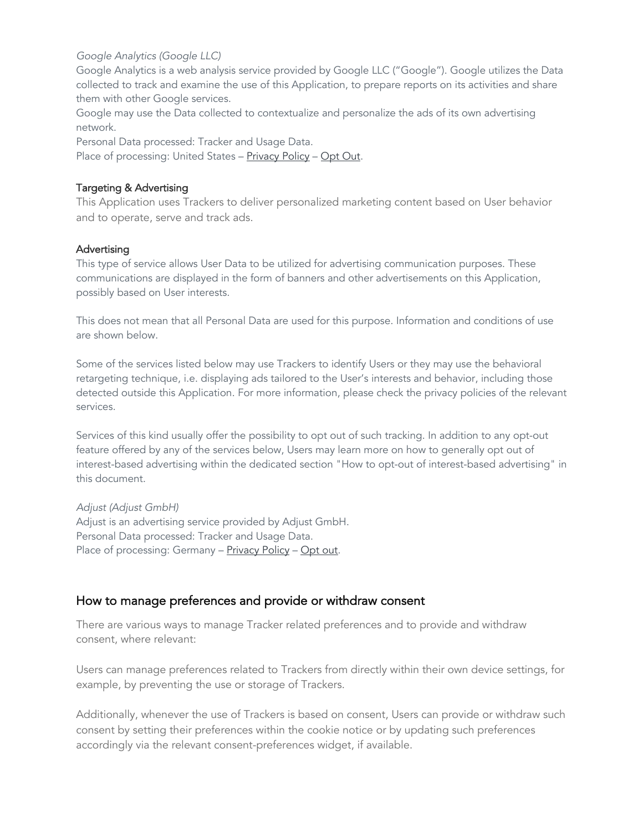*Google Analytics (Google LLC)*

Google Analytics is a web analysis service provided by Google LLC ("Google"). Google utilizes the Data collected to track and examine the use of this Application, to prepare reports on its activities and share them with other Google services.

Google may use the Data collected to contextualize and personalize the ads of its own advertising network.

Personal Data processed: Tracker and Usage Data.

Place of processing: United States - Privacy Policy - Opt Out.

### Targeting & Advertising

This Application uses Trackers to deliver personalized marketing content based on User behavior and to operate, serve and track ads.

### Advertising

This type of service allows User Data to be utilized for advertising communication purposes. These communications are displayed in the form of banners and other advertisements on this Application, possibly based on User interests.

This does not mean that all Personal Data are used for this purpose. Information and conditions of use are shown below.

Some of the services listed below may use Trackers to identify Users or they may use the behavioral retargeting technique, i.e. displaying ads tailored to the User's interests and behavior, including those detected outside this Application. For more information, please check the privacy policies of the relevant services.

Services of this kind usually offer the possibility to opt out of such tracking. In addition to any opt-out feature offered by any of the services below, Users may learn more on how to generally opt out of interest-based advertising within the dedicated section "How to opt-out of interest-based advertising" in this document.

*Adjust (Adjust GmbH)* Adjust is an advertising service provided by Adjust GmbH. Personal Data processed: Tracker and Usage Data. Place of processing: Germany - Privacy Policy - Opt out.

# How to manage preferences and provide or withdraw consent

There are various ways to manage Tracker related preferences and to provide and withdraw consent, where relevant:

Users can manage preferences related to Trackers from directly within their own device settings, for example, by preventing the use or storage of Trackers.

Additionally, whenever the use of Trackers is based on consent, Users can provide or withdraw such consent by setting their preferences within the cookie notice or by updating such preferences accordingly via the relevant consent-preferences widget, if available.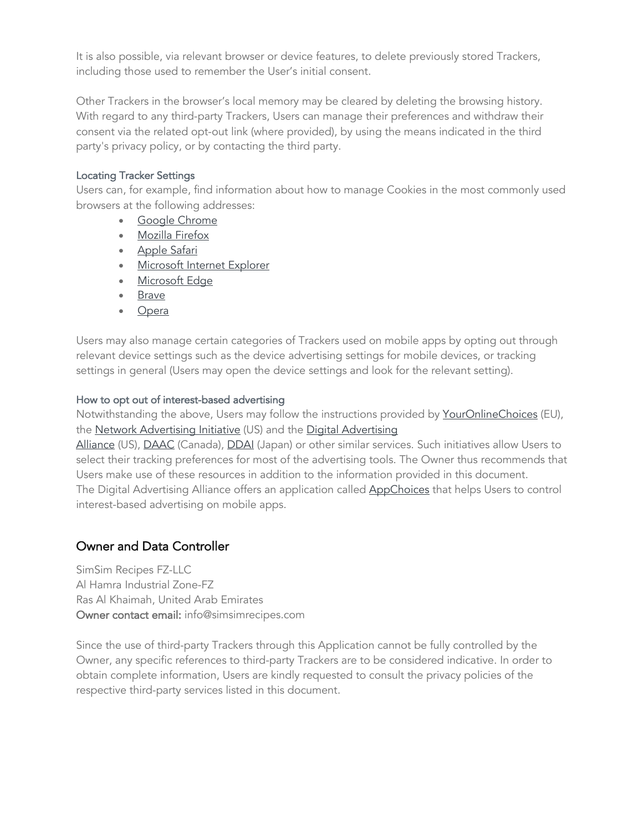It is also possible, via relevant browser or device features, to delete previously stored Trackers, including those used to remember the User's initial consent.

Other Trackers in the browser's local memory may be cleared by deleting the browsing history. With regard to any third-party Trackers, Users can manage their preferences and withdraw their consent via the related opt-out link (where provided), by using the means indicated in the third party's privacy policy, or by contacting the third party.

## Locating Tracker Settings

Users can, for example, find information about how to manage Cookies in the most commonly used browsers at the following addresses:

- Google Chrome
- Mozilla Firefox
- Apple Safari
- Microsoft Internet Explorer
- Microsoft Edge
- Brave
- Opera

Users may also manage certain categories of Trackers used on mobile apps by opting out through relevant device settings such as the device advertising settings for mobile devices, or tracking settings in general (Users may open the device settings and look for the relevant setting).

# How to opt out of interest-based advertising

Notwithstanding the above, Users may follow the instructions provided by YourOnlineChoices (EU), the Network Advertising Initiative (US) and the Digital Advertising

Alliance (US), DAAC (Canada), DDAI (Japan) or other similar services. Such initiatives allow Users to select their tracking preferences for most of the advertising tools. The Owner thus recommends that Users make use of these resources in addition to the information provided in this document. The Digital Advertising Alliance offers an application called **AppChoices** that helps Users to control interest-based advertising on mobile apps.

# Owner and Data Controller

SimSim Recipes FZ-LLC Al Hamra Industrial Zone-FZ Ras Al Khaimah, United Arab Emirates Owner contact email: info@simsimrecipes.com

Since the use of third-party Trackers through this Application cannot be fully controlled by the Owner, any specific references to third-party Trackers are to be considered indicative. In order to obtain complete information, Users are kindly requested to consult the privacy policies of the respective third-party services listed in this document.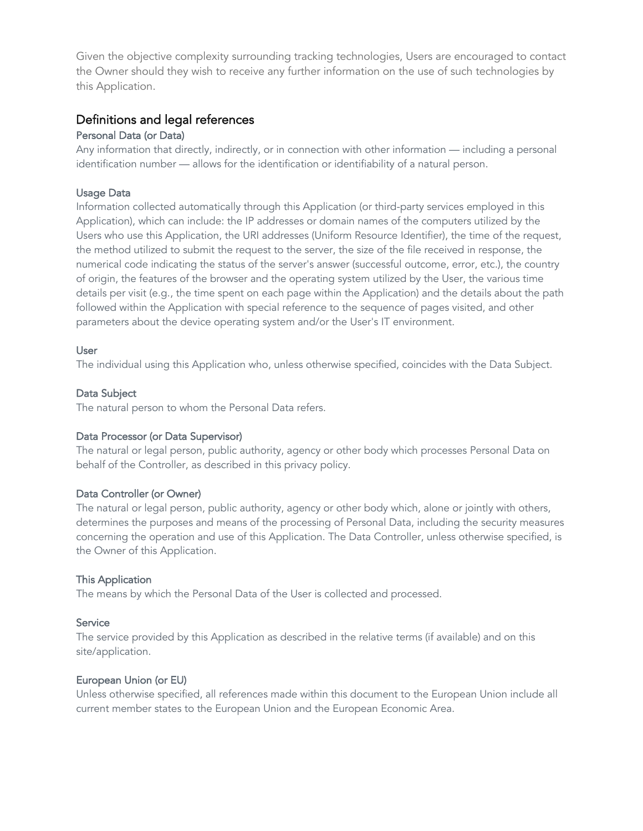Given the objective complexity surrounding tracking technologies, Users are encouraged to contact the Owner should they wish to receive any further information on the use of such technologies by this Application.

# Definitions and legal references

### Personal Data (or Data)

Any information that directly, indirectly, or in connection with other information — including a personal identification number — allows for the identification or identifiability of a natural person.

### Usage Data

Information collected automatically through this Application (or third-party services employed in this Application), which can include: the IP addresses or domain names of the computers utilized by the Users who use this Application, the URI addresses (Uniform Resource Identifier), the time of the request, the method utilized to submit the request to the server, the size of the file received in response, the numerical code indicating the status of the server's answer (successful outcome, error, etc.), the country of origin, the features of the browser and the operating system utilized by the User, the various time details per visit (e.g., the time spent on each page within the Application) and the details about the path followed within the Application with special reference to the sequence of pages visited, and other parameters about the device operating system and/or the User's IT environment.

### User

The individual using this Application who, unless otherwise specified, coincides with the Data Subject.

## Data Subject

The natural person to whom the Personal Data refers.

### Data Processor (or Data Supervisor)

The natural or legal person, public authority, agency or other body which processes Personal Data on behalf of the Controller, as described in this privacy policy.

### Data Controller (or Owner)

The natural or legal person, public authority, agency or other body which, alone or jointly with others, determines the purposes and means of the processing of Personal Data, including the security measures concerning the operation and use of this Application. The Data Controller, unless otherwise specified, is the Owner of this Application.

## This Application

The means by which the Personal Data of the User is collected and processed.

### **Service**

The service provided by this Application as described in the relative terms (if available) and on this site/application.

### European Union (or EU)

Unless otherwise specified, all references made within this document to the European Union include all current member states to the European Union and the European Economic Area.